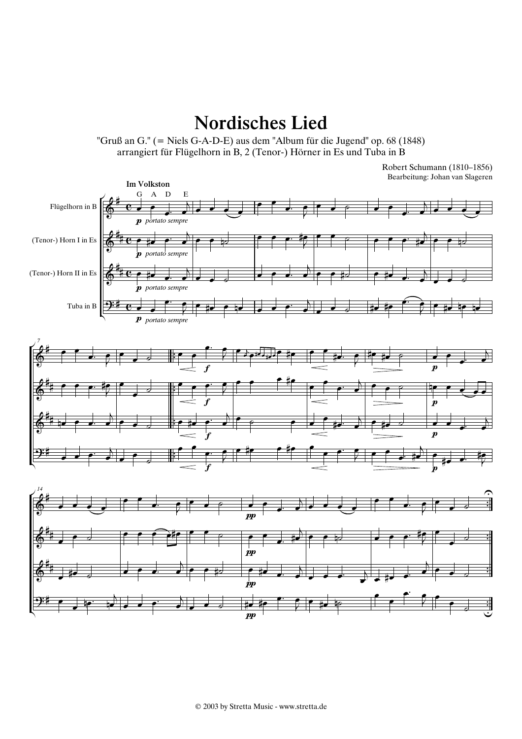Nordisches Lied

"Gruß an G." (= Niels G-A-D-E) aus dem "Album für die Jugend" op. 68 (1848) arrangiert für Flügelhorn in B, 2 (Tenor-) Hörner in Es und Tuba in B

> Bearbeitung: Johan van Slageren Robert Schumann (1810–1856)

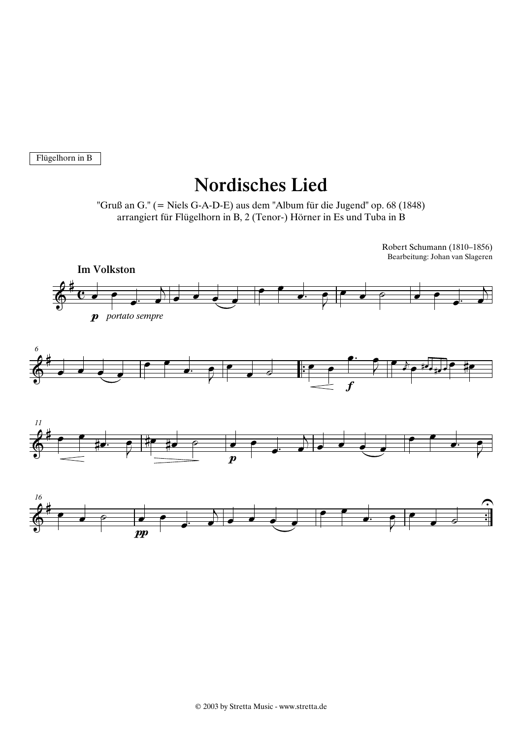Flügelhorn in B

## Nordisches Lied

"Gruß an G." (= Niels G-A-D-E) aus dem "Album für die Jugend" op. 68 (1848) arrangiert für Flügelhorn in B, 2 (Tenor-) Hörner in Es und Tuba in B

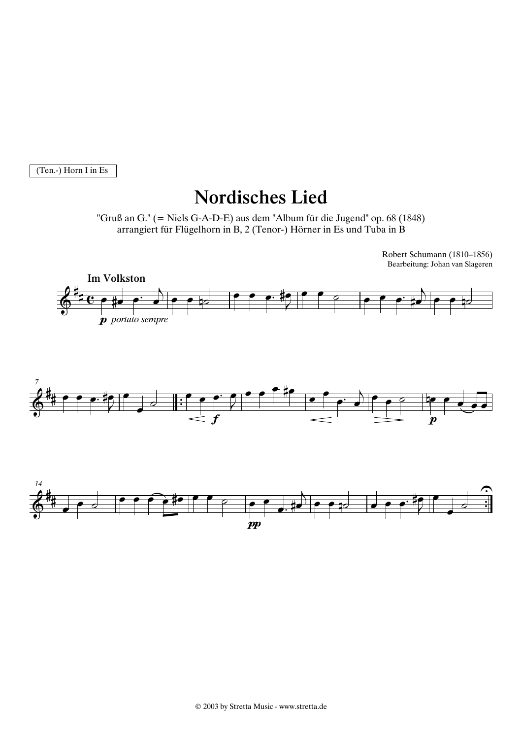(Ten.-) Horn I in Es

## Nordisches Lied

"Gruß an G." (= Niels G-A-D-E) aus dem "Album für die Jugend" op. 68 (1848) arrangiert für Flügelhorn in B, 2 (Tenor-) Hörner in Es und Tuba in B

> Bearbeitung: Johan van Slageren Robert Schumann (1810–1856)

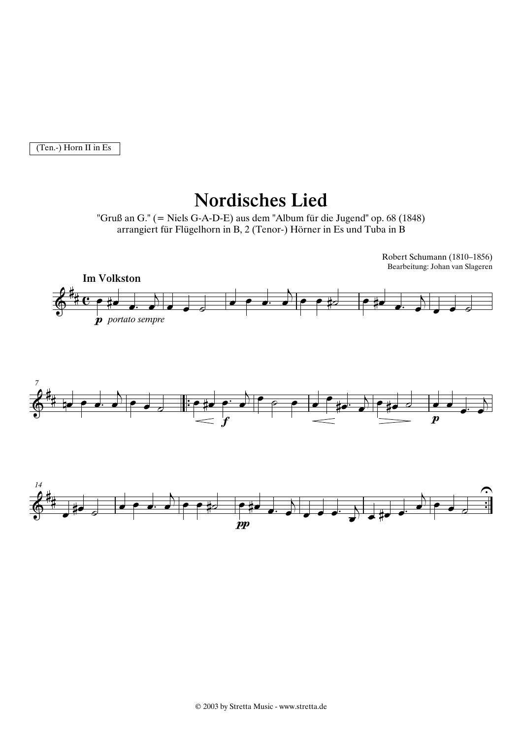(Ten.-) Horn II in Es

## Nordisches Lied

"Gruß an G." (= Niels G-A-D-E) aus dem "Album für die Jugend" op. 68 (1848) arrangiert für Flügelhorn in B, 2 (Tenor-) Hörner in Es und Tuba in B

> Bearbeitung: Johan van Slageren Robert Schumann (1810–1856)